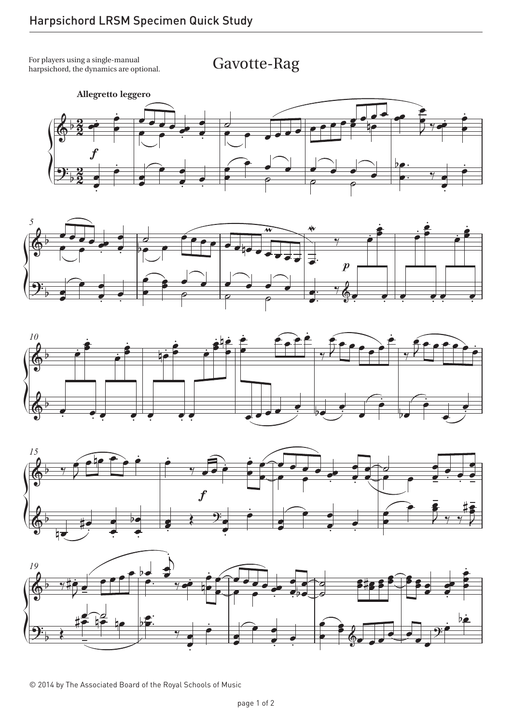For players using a single-manual harpsichord, the dynamics are optional. Gavotte-Rag Gavotte - Rag











© 2014 by The Associated Board of the Royal Schools of Music